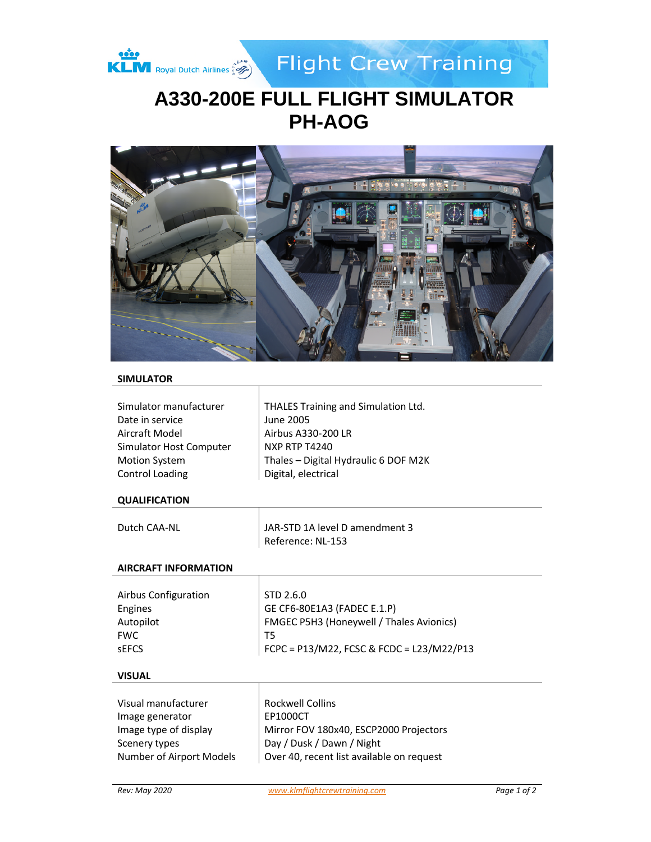

**Flight Crew Training** 

# **A330-200E FULL FLIGHT SIMULATOR PH-AOG**



# **SIMULATOR**

| Simulator manufacturer  | THALES Training and Simulation Ltd.  |
|-------------------------|--------------------------------------|
| Date in service         | June 2005                            |
| Aircraft Model          | Airbus A330-200 LR                   |
| Simulator Host Computer | <b>NXP RTP T4240</b>                 |
| <b>Motion System</b>    | Thales - Digital Hydraulic 6 DOF M2K |
| Control Loading         | Digital, electrical                  |

# **QUALIFICATION**

| Dutch CAA-NL | JAR-STD 1A level D amendment 3 |
|--------------|--------------------------------|
|              | Reference: NL-153              |

 $\mathsf{I}$ 

Τ

# **AIRCRAFT INFORMATION**

| Airbus Configuration<br>Engines<br>Autopilot<br><b>FWC</b> | STD 2.6.0<br>GE CF6-80E1A3 (FADEC E.1.P)<br>FMGEC P5H3 (Honeywell / Thales Avionics) |
|------------------------------------------------------------|--------------------------------------------------------------------------------------|
| <b>SEFCS</b>                                               | FCPC = P13/M22, FCSC & FCDC = L23/M22/P13                                            |

#### **VISUAL**

| Visual manufacturer      | <b>Rockwell Collins</b>                   |
|--------------------------|-------------------------------------------|
| Image generator          | EP1000CT                                  |
| Image type of display    | Mirror FOV 180x40, ESCP2000 Projectors    |
| Scenery types            | Day / Dusk / Dawn / Night                 |
| Number of Airport Models | Over 40, recent list available on request |
|                          |                                           |